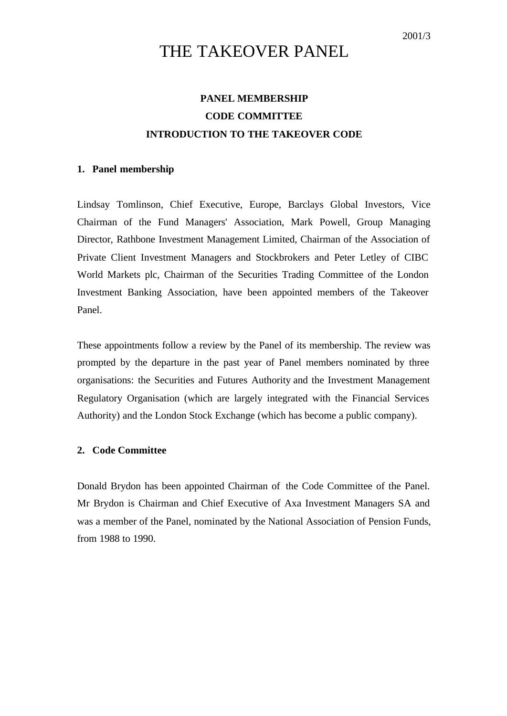# THE TAKEOVER PANEL

## **PANEL MEMBERSHIP CODE COMMITTEE INTRODUCTION TO THE TAKEOVER CODE**

#### **1. Panel membership**

Lindsay Tomlinson, Chief Executive, Europe, Barclays Global Investors, Vice Chairman of the Fund Managers' Association, Mark Powell, Group Managing Director, Rathbone Investment Management Limited, Chairman of the Association of Private Client Investment Managers and Stockbrokers and Peter Letley of CIBC World Markets plc, Chairman of the Securities Trading Committee of the London Investment Banking Association, have been appointed members of the Takeover Panel.

These appointments follow a review by the Panel of its membership. The review was prompted by the departure in the past year of Panel members nominated by three organisations: the Securities and Futures Authority and the Investment Management Regulatory Organisation (which are largely integrated with the Financial Services Authority) and the London Stock Exchange (which has become a public company).

#### **2. Code Committee**

Donald Brydon has been appointed Chairman of the Code Committee of the Panel. Mr Brydon is Chairman and Chief Executive of Axa Investment Managers SA and was a member of the Panel, nominated by the National Association of Pension Funds, from 1988 to 1990.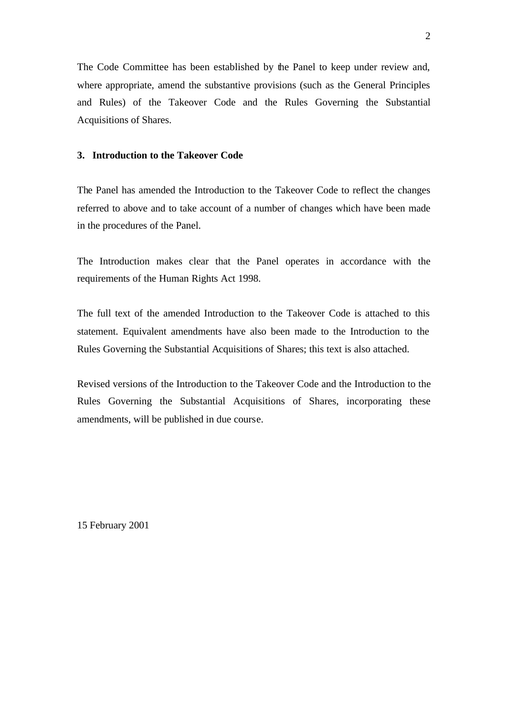The Code Committee has been established by the Panel to keep under review and, where appropriate, amend the substantive provisions (such as the General Principles and Rules) of the Takeover Code and the Rules Governing the Substantial Acquisitions of Shares.

## **3. Introduction to the Takeover Code**

The Panel has amended the Introduction to the Takeover Code to reflect the changes referred to above and to take account of a number of changes which have been made in the procedures of the Panel.

The Introduction makes clear that the Panel operates in accordance with the requirements of the Human Rights Act 1998.

The full text of the amended Introduction to the Takeover Code is attached to this statement. Equivalent amendments have also been made to the Introduction to the Rules Governing the Substantial Acquisitions of Shares; this text is also attached.

Revised versions of the Introduction to the Takeover Code and the Introduction to the Rules Governing the Substantial Acquisitions of Shares, incorporating these amendments, will be published in due course.

15 February 2001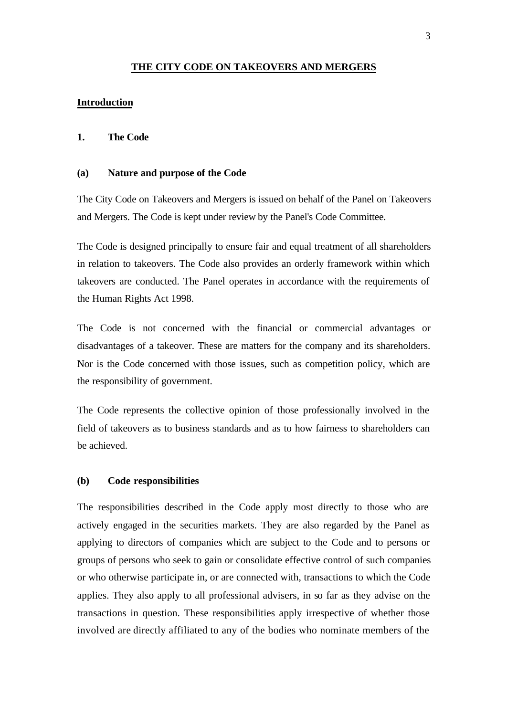## **THE CITY CODE ON TAKEOVERS AND MERGERS**

#### **Introduction**

#### **1. The Code**

#### **(a) Nature and purpose of the Code**

The City Code on Takeovers and Mergers is issued on behalf of the Panel on Takeovers and Mergers. The Code is kept under review by the Panel's Code Committee.

The Code is designed principally to ensure fair and equal treatment of all shareholders in relation to takeovers. The Code also provides an orderly framework within which takeovers are conducted. The Panel operates in accordance with the requirements of the Human Rights Act 1998.

The Code is not concerned with the financial or commercial advantages or disadvantages of a takeover. These are matters for the company and its shareholders. Nor is the Code concerned with those issues, such as competition policy, which are the responsibility of government.

The Code represents the collective opinion of those professionally involved in the field of takeovers as to business standards and as to how fairness to shareholders can be achieved.

### **(b) Code responsibilities**

The responsibilities described in the Code apply most directly to those who are actively engaged in the securities markets. They are also regarded by the Panel as applying to directors of companies which are subject to the Code and to persons or groups of persons who seek to gain or consolidate effective control of such companies or who otherwise participate in, or are connected with, transactions to which the Code applies. They also apply to all professional advisers, in so far as they advise on the transactions in question. These responsibilities apply irrespective of whether those involved are directly affiliated to any of the bodies who nominate members of the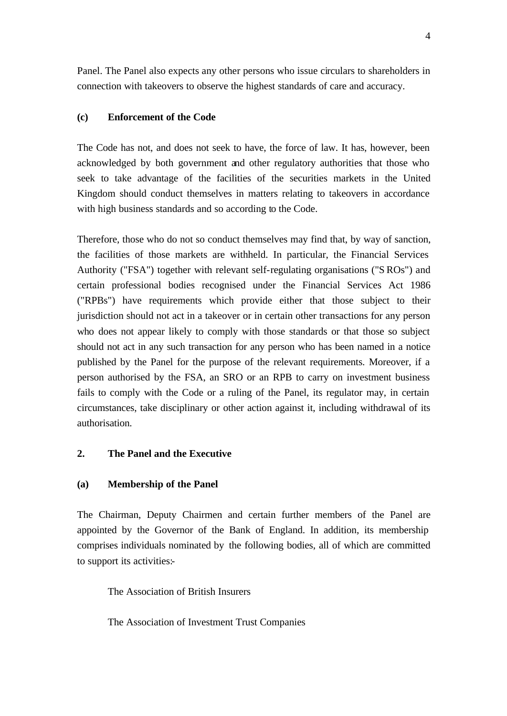Panel. The Panel also expects any other persons who issue circulars to shareholders in connection with takeovers to observe the highest standards of care and accuracy.

#### **(c) Enforcement of the Code**

The Code has not, and does not seek to have, the force of law. It has, however, been acknowledged by both government and other regulatory authorities that those who seek to take advantage of the facilities of the securities markets in the United Kingdom should conduct themselves in matters relating to takeovers in accordance with high business standards and so according to the Code.

Therefore, those who do not so conduct themselves may find that, by way of sanction, the facilities of those markets are withheld. In particular, the Financial Services Authority ("FSA") together with relevant self-regulating organisations ("S ROs") and certain professional bodies recognised under the Financial Services Act 1986 ("RPBs") have requirements which provide either that those subject to their jurisdiction should not act in a takeover or in certain other transactions for any person who does not appear likely to comply with those standards or that those so subject should not act in any such transaction for any person who has been named in a notice published by the Panel for the purpose of the relevant requirements. Moreover, if a person authorised by the FSA, an SRO or an RPB to carry on investment business fails to comply with the Code or a ruling of the Panel, its regulator may, in certain circumstances, take disciplinary or other action against it, including withdrawal of its authorisation.

#### **2. The Panel and the Executive**

#### **(a) Membership of the Panel**

The Chairman, Deputy Chairmen and certain further members of the Panel are appointed by the Governor of the Bank of England. In addition, its membership comprises individuals nominated by the following bodies, all of which are committed to support its activities:-

The Association of British Insurers

The Association of Investment Trust Companies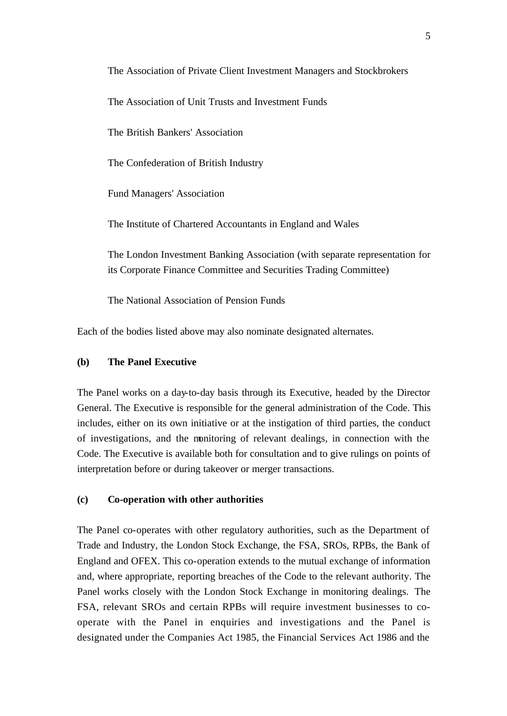The Association of Private Client Investment Managers and Stockbrokers

The Association of Unit Trusts and Investment Funds

The British Bankers' Association

The Confederation of British Industry

Fund Managers' Association

The Institute of Chartered Accountants in England and Wales

The London Investment Banking Association (with separate representation for its Corporate Finance Committee and Securities Trading Committee)

The National Association of Pension Funds

Each of the bodies listed above may also nominate designated alternates.

## **(b) The Panel Executive**

The Panel works on a day-to-day basis through its Executive, headed by the Director General. The Executive is responsible for the general administration of the Code. This includes, either on its own initiative or at the instigation of third parties, the conduct of investigations, and the monitoring of relevant dealings, in connection with the Code. The Executive is available both for consultation and to give rulings on points of interpretation before or during takeover or merger transactions.

**(c) Co-operation with other authorities**

The Panel co-operates with other regulatory authorities, such as the Department of Trade and Industry, the London Stock Exchange, the FSA, SROs, RPBs, the Bank of England and OFEX. This co-operation extends to the mutual exchange of information and, where appropriate, reporting breaches of the Code to the relevant authority. The Panel works closely with the London Stock Exchange in monitoring dealings. The FSA, relevant SROs and certain RPBs will require investment businesses to cooperate with the Panel in enquiries and investigations and the Panel is designated under the Companies Act 1985, the Financial Services Act 1986 and the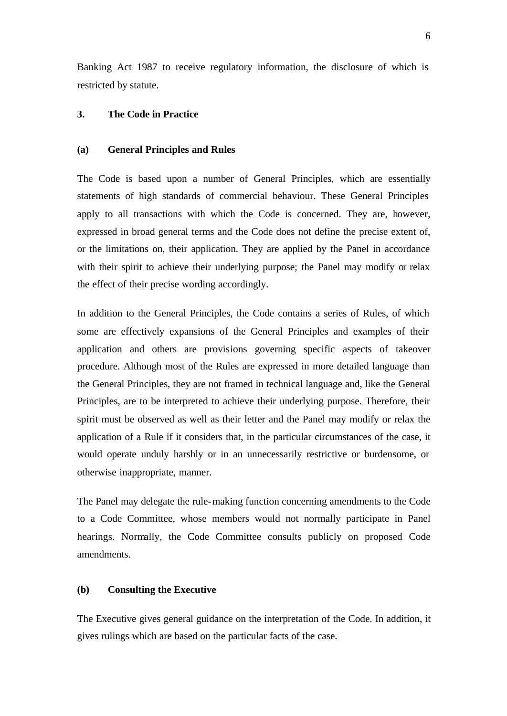Banking Act 1987 to receive regulatory information, the disclosure of which is restricted by statute.

#### **3. The Code in Practice**

#### **(a) General Principles and Rules**

The Code is based upon a number of General Principles, which are essentially statements of high standards of commercial behaviour. These General Principles apply to all transactions with which the Code is concerned. They are, however, expressed in broad general terms and the Code does not define the precise extent of, or the limitations on, their application. They are applied by the Panel in accordance with their spirit to achieve their underlying purpose; the Panel may modify or relax the effect of their precise wording accordingly.

In addition to the General Principles, the Code contains a series of Rules, of which some are effectively expansions of the General Principles and examples of their application and others are provisions governing specific aspects of takeover procedure. Although most of the Rules are expressed in more detailed language than the General Principles, they are not framed in technical language and, like the General Principles, are to be interpreted to achieve their underlying purpose. Therefore, their spirit must be observed as well as their letter and the Panel may modify or relax the application of a Rule if it considers that, in the particular circumstances of the case, it would operate unduly harshly or in an unnecessarily restrictive or burdensome, or otherwise inappropriate, manner.

The Panel may delegate the rule-making function concerning amendments to the Code to a Code Committee, whose members would not normally participate in Panel hearings. Normally, the Code Committee consults publicly on proposed Code amendments.

### **(b) Consulting the Executive**

The Executive gives general guidance on the interpretation of the Code. In addition, it gives rulings which are based on the particular facts of the case.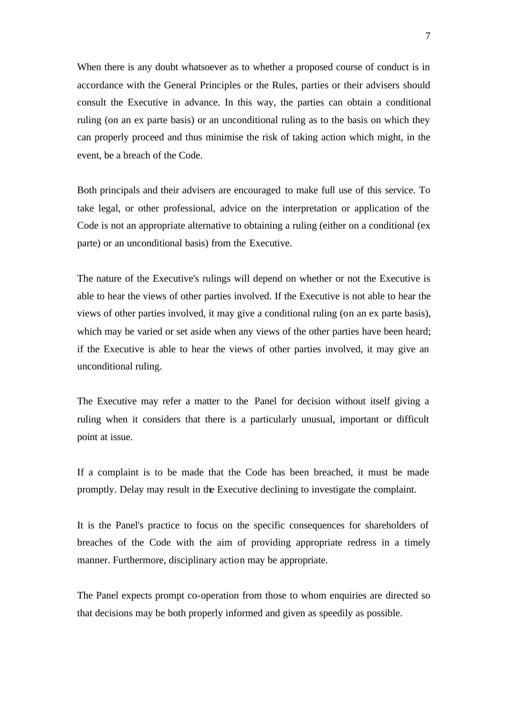When there is any doubt whatsoever as to whether a proposed course of conduct is in accordance with the General Principles or the Rules, parties or their advisers should consult the Executive in advance. In this way, the parties can obtain a conditional ruling (on an ex parte basis) or an unconditional ruling as to the basis on which they can properly proceed and thus minimise the risk of taking action which might, in the event, be a breach of the Code.

Both principals and their advisers are encouraged to make full use of this service. To take legal, or other professional, advice on the interpretation or application of the Code is not an appropriate alternative to obtaining a ruling (either on a conditional (ex parte) or an unconditional basis) from the Executive.

The nature of the Executive's rulings will depend on whether or not the Executive is able to hear the views of other parties involved. If the Executive is not able to hear the views of other parties involved, it may give a conditional ruling (on an ex parte basis), which may be varied or set aside when any views of the other parties have been heard; if the Executive is able to hear the views of other parties involved, it may give an unconditional ruling.

The Executive may refer a matter to the Panel for decision without itself giving a ruling when it considers that there is a particularly unusual, important or difficult point at issue.

If a complaint is to be made that the Code has been breached, it must be made promptly. Delay may result in the Executive declining to investigate the complaint.

It is the Panel's practice to focus on the specific consequences for shareholders of breaches of the Code with the aim of providing appropriate redress in a timely manner. Furthermore, disciplinary action may be appropriate.

The Panel expects prompt co-operation from those to whom enquiries are directed so that decisions may be both properly informed and given as speedily as possible.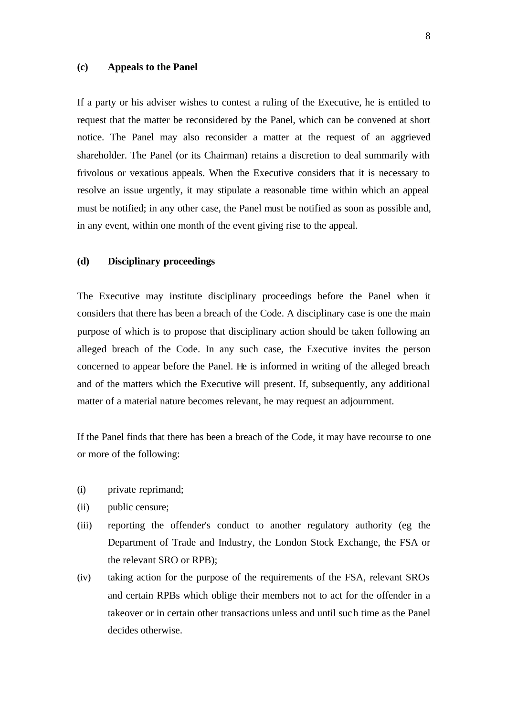#### **(c) Appeals to the Panel**

If a party or his adviser wishes to contest a ruling of the Executive, he is entitled to request that the matter be reconsidered by the Panel, which can be convened at short notice. The Panel may also reconsider a matter at the request of an aggrieved shareholder. The Panel (or its Chairman) retains a discretion to deal summarily with frivolous or vexatious appeals. When the Executive considers that it is necessary to resolve an issue urgently, it may stipulate a reasonable time within which an appeal must be notified; in any other case, the Panel must be notified as soon as possible and, in any event, within one month of the event giving rise to the appeal.

#### **(d) Disciplinary proceedings**

The Executive may institute disciplinary proceedings before the Panel when it considers that there has been a breach of the Code. A disciplinary case is one the main purpose of which is to propose that disciplinary action should be taken following an alleged breach of the Code. In any such case, the Executive invites the person concerned to appear before the Panel. He is informed in writing of the alleged breach and of the matters which the Executive will present. If, subsequently, any additional matter of a material nature becomes relevant, he may request an adjournment.

If the Panel finds that there has been a breach of the Code, it may have recourse to one or more of the following:

- (i) private reprimand;
- (ii) public censure;
- (iii) reporting the offender's conduct to another regulatory authority (eg the Department of Trade and Industry, the London Stock Exchange, the FSA or the relevant SRO or RPB);
- (iv) taking action for the purpose of the requirements of the FSA, relevant SROs and certain RPBs which oblige their members not to act for the offender in a takeover or in certain other transactions unless and until such time as the Panel decides otherwise.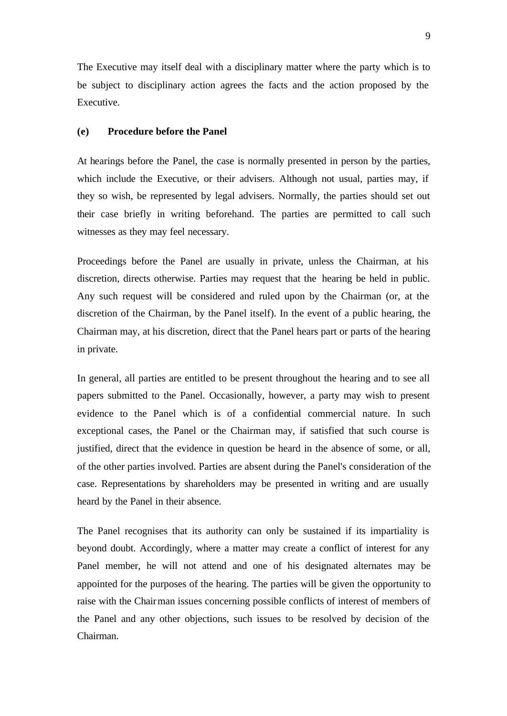The Executive may itself deal with a disciplinary matter where the party which is to be subject to disciplinary action agrees the facts and the action proposed by the Executive.

#### **(e) Procedure before the Panel**

At hearings before the Panel, the case is normally presented in person by the parties, which include the Executive, or their advisers. Although not usual, parties may, if they so wish, be represented by legal advisers. Normally, the parties should set out their case briefly in writing beforehand. The parties are permitted to call such witnesses as they may feel necessary.

Proceedings before the Panel are usually in private, unless the Chairman, at his discretion, directs otherwise. Parties may request that the hearing be held in public. Any such request will be considered and ruled upon by the Chairman (or, at the discretion of the Chairman, by the Panel itself). In the event of a public hearing, the Chairman may, at his discretion, direct that the Panel hears part or parts of the hearing in private.

In general, all parties are entitled to be present throughout the hearing and to see all papers submitted to the Panel. Occasionally, however, a party may wish to present evidence to the Panel which is of a confidential commercial nature. In such exceptional cases, the Panel or the Chairman may, if satisfied that such course is justified, direct that the evidence in question be heard in the absence of some, or all, of the other parties involved. Parties are absent during the Panel's consideration of the case. Representations by shareholders may be presented in writing and are usually heard by the Panel in their absence.

The Panel recognises that its authority can only be sustained if its impartiality is beyond doubt. Accordingly, where a matter may create a conflict of interest for any Panel member, he will not attend and one of his designated alternates may be appointed for the purposes of the hearing. The parties will be given the opportunity to raise with the Chairman issues concerning possible conflicts of interest of members of the Panel and any other objections, such issues to be resolved by decision of the Chairman.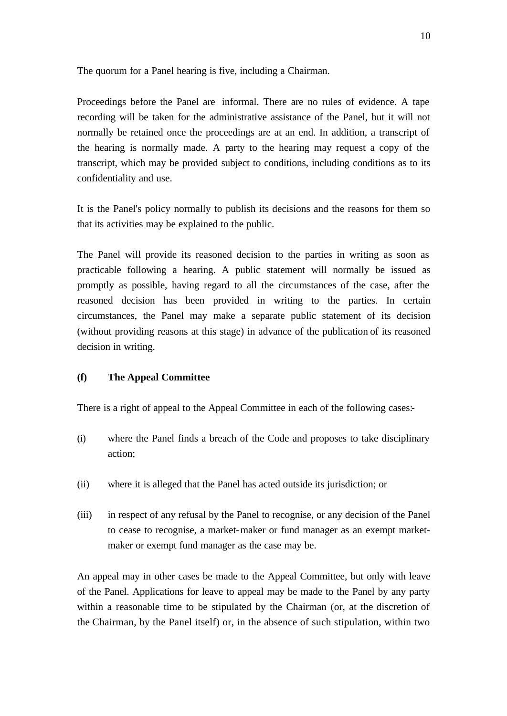The quorum for a Panel hearing is five, including a Chairman.

Proceedings before the Panel are informal. There are no rules of evidence. A tape recording will be taken for the administrative assistance of the Panel, but it will not normally be retained once the proceedings are at an end. In addition, a transcript of the hearing is normally made. A party to the hearing may request a copy of the transcript, which may be provided subject to conditions, including conditions as to its confidentiality and use.

It is the Panel's policy normally to publish its decisions and the reasons for them so that its activities may be explained to the public.

The Panel will provide its reasoned decision to the parties in writing as soon as practicable following a hearing. A public statement will normally be issued as promptly as possible, having regard to all the circumstances of the case, after the reasoned decision has been provided in writing to the parties. In certain circumstances, the Panel may make a separate public statement of its decision (without providing reasons at this stage) in advance of the publication of its reasoned decision in writing.

## **(f) The Appeal Committee**

There is a right of appeal to the Appeal Committee in each of the following cases:-

- (i) where the Panel finds a breach of the Code and proposes to take disciplinary action;
- (ii) where it is alleged that the Panel has acted outside its jurisdiction; or
- (iii) in respect of any refusal by the Panel to recognise, or any decision of the Panel to cease to recognise, a market-maker or fund manager as an exempt marketmaker or exempt fund manager as the case may be.

An appeal may in other cases be made to the Appeal Committee, but only with leave of the Panel. Applications for leave to appeal may be made to the Panel by any party within a reasonable time to be stipulated by the Chairman (or, at the discretion of the Chairman, by the Panel itself) or, in the absence of such stipulation, within two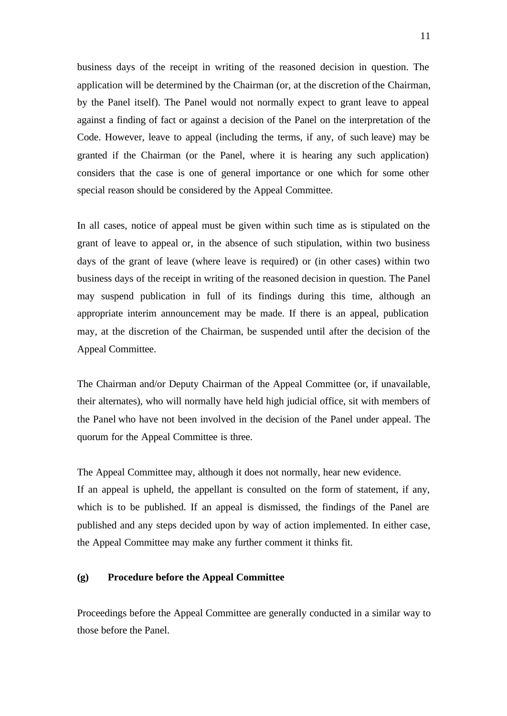business days of the receipt in writing of the reasoned decision in question. The application will be determined by the Chairman (or, at the discretion of the Chairman, by the Panel itself). The Panel would not normally expect to grant leave to appeal against a finding of fact or against a decision of the Panel on the interpretation of the Code. However, leave to appeal (including the terms, if any, of such leave) may be granted if the Chairman (or the Panel, where it is hearing any such application) considers that the case is one of general importance or one which for some other special reason should be considered by the Appeal Committee.

In all cases, notice of appeal must be given within such time as is stipulated on the grant of leave to appeal or, in the absence of such stipulation, within two business days of the grant of leave (where leave is required) or (in other cases) within two business days of the receipt in writing of the reasoned decision in question. The Panel may suspend publication in full of its findings during this time, although an appropriate interim announcement may be made. If there is an appeal, publication may, at the discretion of the Chairman, be suspended until after the decision of the Appeal Committee.

The Chairman and/or Deputy Chairman of the Appeal Committee (or, if unavailable, their alternates), who will normally have held high judicial office, sit with members of the Panel who have not been involved in the decision of the Panel under appeal. The quorum for the Appeal Committee is three.

The Appeal Committee may, although it does not normally, hear new evidence. If an appeal is upheld, the appellant is consulted on the form of statement, if any, which is to be published. If an appeal is dismissed, the findings of the Panel are published and any steps decided upon by way of action implemented. In either case, the Appeal Committee may make any further comment it thinks fit.

#### **(g) Procedure before the Appeal Committee**

Proceedings before the Appeal Committee are generally conducted in a similar way to those before the Panel.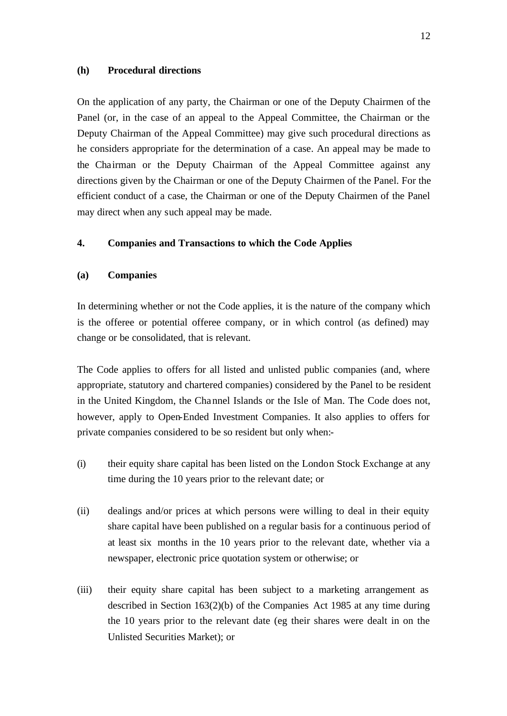## **(h) Procedural directions**

On the application of any party, the Chairman or one of the Deputy Chairmen of the Panel (or, in the case of an appeal to the Appeal Committee, the Chairman or the Deputy Chairman of the Appeal Committee) may give such procedural directions as he considers appropriate for the determination of a case. An appeal may be made to the Chairman or the Deputy Chairman of the Appeal Committee against any directions given by the Chairman or one of the Deputy Chairmen of the Panel. For the efficient conduct of a case, the Chairman or one of the Deputy Chairmen of the Panel may direct when any such appeal may be made.

## **4. Companies and Transactions to which the Code Applies**

### **(a) Companies**

In determining whether or not the Code applies, it is the nature of the company which is the offeree or potential offeree company, or in which control (as defined) may change or be consolidated, that is relevant.

The Code applies to offers for all listed and unlisted public companies (and, where appropriate, statutory and chartered companies) considered by the Panel to be resident in the United Kingdom, the Channel Islands or the Isle of Man. The Code does not, however, apply to Open-Ended Investment Companies. It also applies to offers for private companies considered to be so resident but only when:-

- (i) their equity share capital has been listed on the London Stock Exchange at any time during the 10 years prior to the relevant date; or
- (ii) dealings and/or prices at which persons were willing to deal in their equity share capital have been published on a regular basis for a continuous period of at least six months in the 10 years prior to the relevant date, whether via a newspaper, electronic price quotation system or otherwise; or
- (iii) their equity share capital has been subject to a marketing arrangement as described in Section 163(2)(b) of the Companies Act 1985 at any time during the 10 years prior to the relevant date (eg their shares were dealt in on the Unlisted Securities Market); or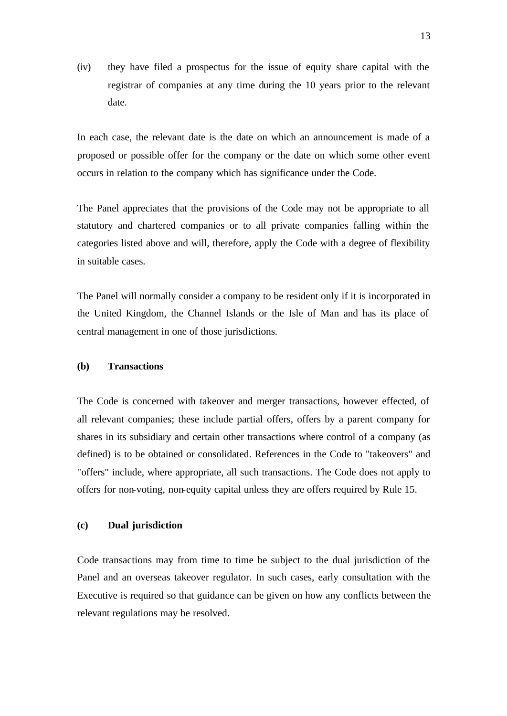(iv) they have filed a prospectus for the issue of equity share capital with the registrar of companies at any time during the 10 years prior to the relevant date.

In each case, the relevant date is the date on which an announcement is made of a proposed or possible offer for the company or the date on which some other event occurs in relation to the company which has significance under the Code.

The Panel appreciates that the provisions of the Code may not be appropriate to all statutory and chartered companies or to all private companies falling within the categories listed above and will, therefore, apply the Code with a degree of flexibility in suitable cases.

The Panel will normally consider a company to be resident only if it is incorporated in the United Kingdom, the Channel Islands or the Isle of Man and has its place of central management in one of those jurisdictions.

#### **(b) Transactions**

The Code is concerned with takeover and merger transactions, however effected, of all relevant companies; these include partial offers, offers by a parent company for shares in its subsidiary and certain other transactions where control of a company (as defined) is to be obtained or consolidated. References in the Code to "takeovers" and "offers" include, where appropriate, all such transactions. The Code does not apply to offers for non-voting, non-equity capital unless they are offers required by Rule 15.

#### **(c) Dual jurisdiction**

Code transactions may from time to time be subject to the dual jurisdiction of the Panel and an overseas takeover regulator. In such cases, early consultation with the Executive is required so that guidance can be given on how any conflicts between the relevant regulations may be resolved.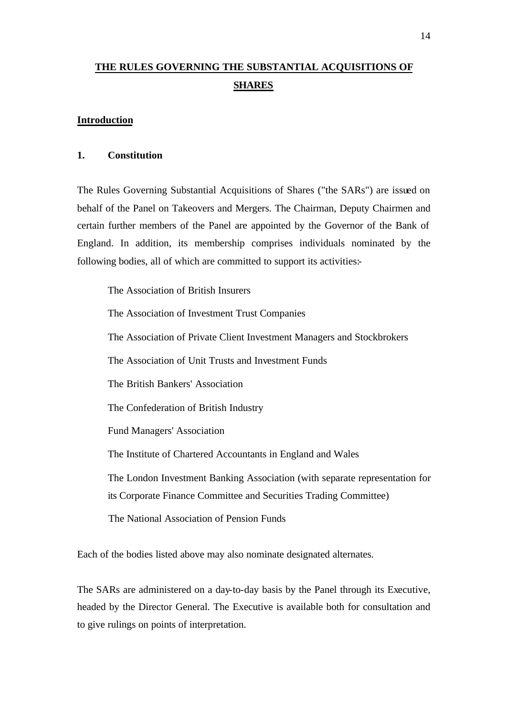## **THE RULES GOVERNING THE SUBSTANTIAL ACQUISITIONS OF SHARES**

## **Introduction**

## **1. Constitution**

The Rules Governing Substantial Acquisitions of Shares ("the SARs") are issued on behalf of the Panel on Takeovers and Mergers. The Chairman, Deputy Chairmen and certain further members of the Panel are appointed by the Governor of the Bank of England. In addition, its membership comprises individuals nominated by the following bodies, all of which are committed to support its activities:-

The Association of British Insurers The Association of Investment Trust Companies The Association of Private Client Investment Managers and Stockbrokers The Association of Unit Trusts and Investment Funds The British Bankers' Association The Confederation of British Industry Fund Managers' Association The Institute of Chartered Accountants in England and Wales The London Investment Banking Association (with separate representation for its Corporate Finance Committee and Securities Trading Committee) The National Association of Pension Funds

Each of the bodies listed above may also nominate designated alternates.

The SARs are administered on a day-to-day basis by the Panel through its Executive, headed by the Director General. The Executive is available both for consultation and to give rulings on points of interpretation.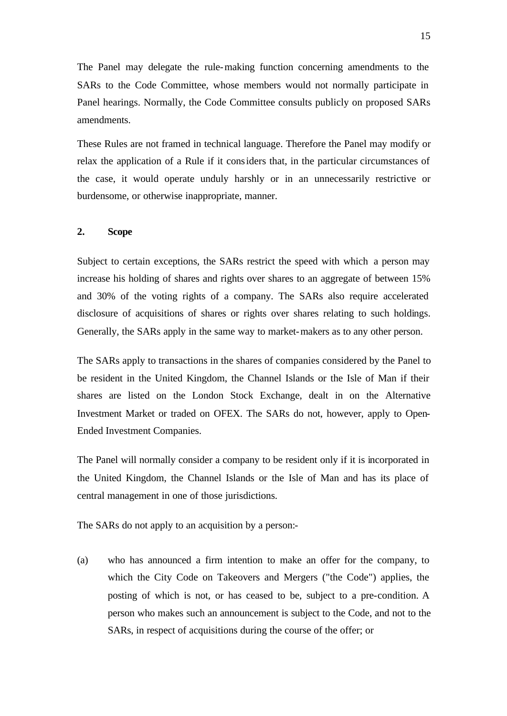The Panel may delegate the rule-making function concerning amendments to the SARs to the Code Committee, whose members would not normally participate in Panel hearings. Normally, the Code Committee consults publicly on proposed SARs amendments.

These Rules are not framed in technical language. Therefore the Panel may modify or relax the application of a Rule if it considers that, in the particular circumstances of the case, it would operate unduly harshly or in an unnecessarily restrictive or burdensome, or otherwise inappropriate, manner.

#### **2. Scope**

Subject to certain exceptions, the SARs restrict the speed with which a person may increase his holding of shares and rights over shares to an aggregate of between 15% and 30% of the voting rights of a company. The SARs also require accelerated disclosure of acquisitions of shares or rights over shares relating to such holdings. Generally, the SARs apply in the same way to market-makers as to any other person.

The SARs apply to transactions in the shares of companies considered by the Panel to be resident in the United Kingdom, the Channel Islands or the Isle of Man if their shares are listed on the London Stock Exchange, dealt in on the Alternative Investment Market or traded on OFEX. The SARs do not, however, apply to Open-Ended Investment Companies.

The Panel will normally consider a company to be resident only if it is incorporated in the United Kingdom, the Channel Islands or the Isle of Man and has its place of central management in one of those jurisdictions.

The SARs do not apply to an acquisition by a person:-

(a) who has announced a firm intention to make an offer for the company, to which the City Code on Takeovers and Mergers ("the Code") applies, the posting of which is not, or has ceased to be, subject to a pre-condition. A person who makes such an announcement is subject to the Code, and not to the SARs, in respect of acquisitions during the course of the offer; or